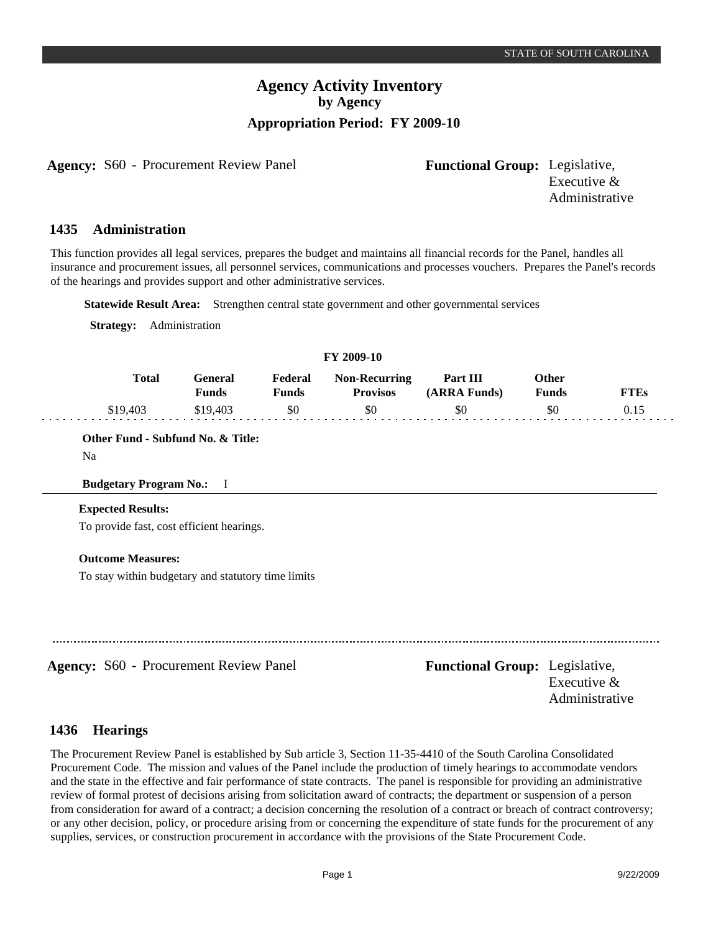# **Agency Activity Inventory by Agency Appropriation Period: FY 2009-10**

**Agency:** S60 - Procurement Review Panel **Functional Group:** Legislative,

Executive & Administrative

### **Administration 1435**

This function provides all legal services, prepares the budget and maintains all financial records for the Panel, handles all insurance and procurement issues, all personnel services, communications and processes vouchers. Prepares the Panel's records of the hearings and provides support and other administrative services.

**Statewide Result Area:** Strengthen central state government and other governmental services

**Strategy:** Administration

#### **FY 2009-10 General Funds**  \$19,403 **Other Funds** \$0 **Federal Funds**  \$0 **FTEs** 0.15 **Total**  \$19,403 **Non-Recurring Provisos** \$0 **Part III (ARRA Funds)** \$0

# **Other Fund - Subfund No. & Title:**

Na

## **Budgetary Program No.:** I

## **Expected Results:**

To provide fast, cost efficient hearings.

## **Outcome Measures:**

To stay within budgetary and statutory time limits

**Agency:** S60 - Procurement Review Panel **Functional Group:** Legislative, Executive & Administrative

### **Hearings 1436**

The Procurement Review Panel is established by Sub article 3, Section 11-35-4410 of the South Carolina Consolidated Procurement Code. The mission and values of the Panel include the production of timely hearings to accommodate vendors and the state in the effective and fair performance of state contracts. The panel is responsible for providing an administrative review of formal protest of decisions arising from solicitation award of contracts; the department or suspension of a person from consideration for award of a contract; a decision concerning the resolution of a contract or breach of contract controversy; or any other decision, policy, or procedure arising from or concerning the expenditure of state funds for the procurement of any supplies, services, or construction procurement in accordance with the provisions of the State Procurement Code.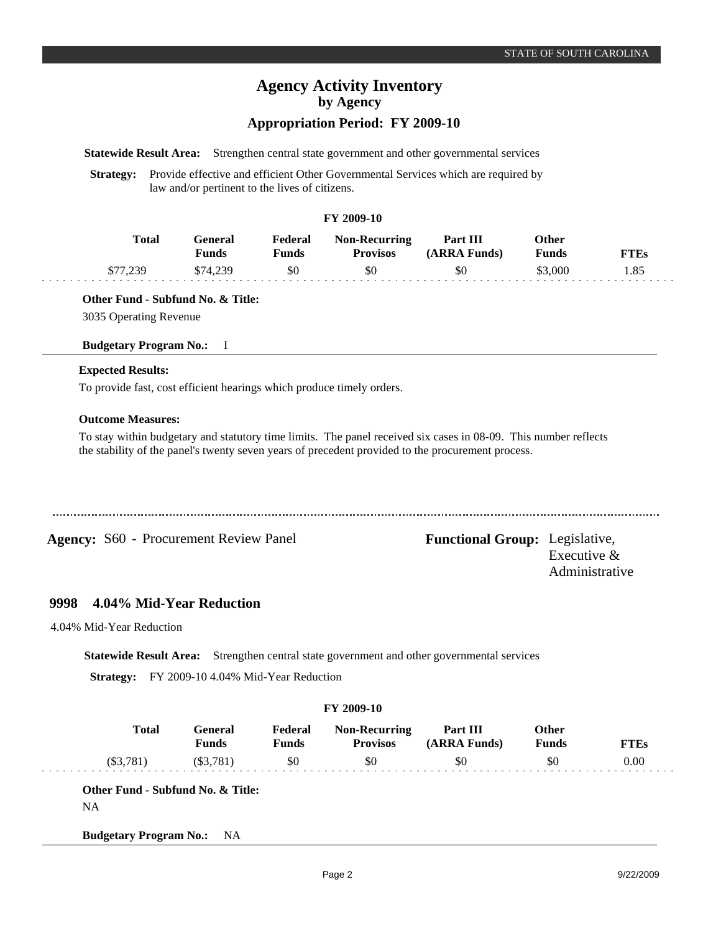# **Agency Activity Inventory by Agency**

## **Appropriation Period: FY 2009-10**

**Statewide Result Area:** Strengthen central state government and other governmental services

**Strategy:** Provide effective and efficient Other Governmental Services which are required by law and/or pertinent to the lives of citizens.

## **FY 2009-10**

| <b>Total</b> | Feneral<br>Funds | Federal<br>Funds | <b>Non-Recurring</b><br><b>Provisos</b> | Part III<br>(ARRA Funds) | Other<br><b>Funds</b> | FTEs |
|--------------|------------------|------------------|-----------------------------------------|--------------------------|-----------------------|------|
| 230          | \$74 239         | \$0              | \$0                                     | \$0                      | \$3,000               | 1.85 |

## **Other Fund - Subfund No. & Title:**

3035 Operating Revenue

## **Budgetary Program No.:** I

## **Expected Results:**

To provide fast, cost efficient hearings which produce timely orders.

## **Outcome Measures:**

To stay within budgetary and statutory time limits. The panel received six cases in 08-09. This number reflects the stability of the panel's twenty seven years of precedent provided to the procurement process.

................................

**Agency:** S60 - Procurement Review Panel Functional Group: Legislative,

Executive & Administrative

### **4.04% Mid-Year Reduction 9998**

4.04% Mid-Year Reduction

**Statewide Result Area:** Strengthen central state government and other governmental services

**Strategy:** FY 2009-10 4.04% Mid-Year Reduction

| Federal      |                                         |                          |                              |             |
|--------------|-----------------------------------------|--------------------------|------------------------------|-------------|
| <b>Funds</b> | <b>Non-Recurring</b><br><b>Provisos</b> | Part III<br>(ARRA Funds) | <b>Other</b><br><b>Funds</b> | <b>FTEs</b> |
| \$0          | \$0                                     | \$0                      | \$0                          | 0.00        |
|              |                                         |                          |                              |             |

**Budgetary Program No.:** NA